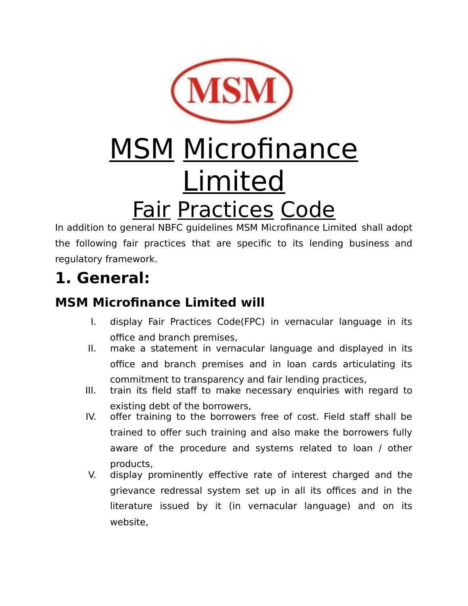

# **MSM Microfinance** Limited Fair Practices Code

In addition to general NBFC guidelines MSM Microfinance Limited shall adopt the following fair practices that are specific to its lending business and regulatory framework.

## **1. General:**

#### **MSM Microfinance Limited will**

- I. display Fair Practices Code(FPC) in vernacular language in its office and branch premises,
- II. make a statement in vernacular language and displayed in its office and branch premises and in loan cards articulating its commitment to transparency and fair lending practices,
- III. train its field staff to make necessary enquiries with regard to existing debt of the borrowers,
- IV. offer training to the borrowers free of cost. Field staff shall be trained to offer such training and also make the borrowers fully aware of the procedure and systems related to loan / other products,
- V. display prominently effective rate of interest charged and the grievance redressal system set up in all its offices and in the literature issued by it (in vernacular language) and on its website,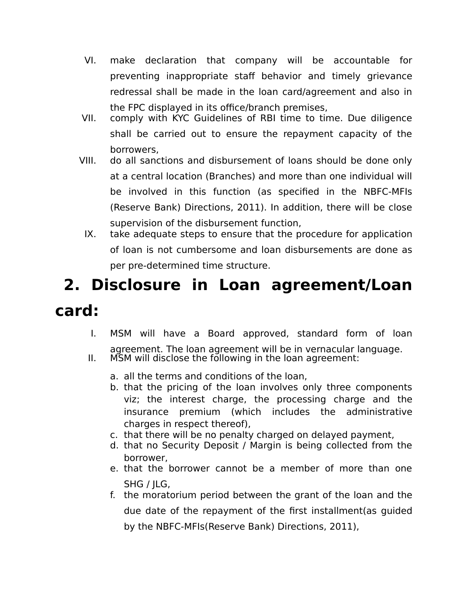- VI. make declaration that company will be accountable for preventing inappropriate staff behavior and timely grievance redressal shall be made in the loan card/agreement and also in the FPC displayed in its office/branch premises,
- VII. comply with KYC Guidelines of RBI time to time. Due diligence shall be carried out to ensure the repayment capacity of the borrowers,
- VIII. do all sanctions and disbursement of loans should be done only at a central location (Branches) and more than one individual will be involved in this function (as specified in the NBFC-MFIs (Reserve Bank) Directions, 2011). In addition, there will be close supervision of the disbursement function,
- IX. take adequate steps to ensure that the procedure for application of loan is not cumbersome and loan disbursements are done as per pre-determined time structure.

## **2. Disclosure in Loan agreement/Loan card:**

- I. MSM will have a Board approved, standard form of loan agreement. The loan agreement will be in vernacular language.
- II. MSM will disclose the following in the loan agreement:
	- a. all the terms and conditions of the loan,
	- b. that the pricing of the loan involves only three components viz; the interest charge, the processing charge and the insurance premium (which includes the administrative charges in respect thereof),
	- c. that there will be no penalty charged on delayed payment,
	- d. that no Security Deposit / Margin is being collected from the borrower,
	- e. that the borrower cannot be a member of more than one SHG / JLG,
	- f. the moratorium period between the grant of the loan and the due date of the repayment of the first installment(as guided by the NBFC-MFIs(Reserve Bank) Directions, 2011),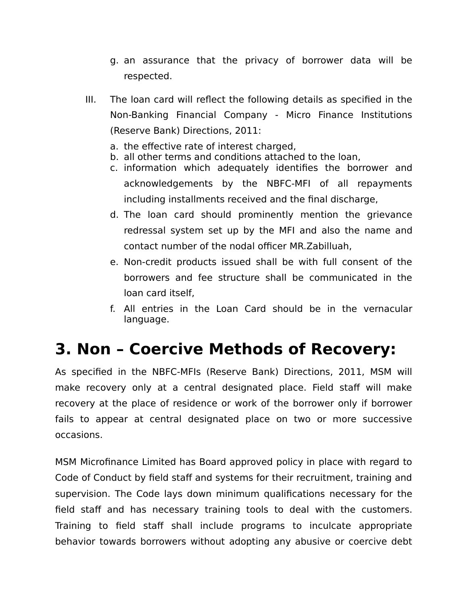- g. an assurance that the privacy of borrower data will be respected.
- III. The loan card will reflect the following details as specified in the Non-Banking Financial Company - Micro Finance Institutions (Reserve Bank) Directions, 2011:
	- a. the effective rate of interest charged,
	- b. all other terms and conditions attached to the loan,
	- c. information which adequately identifies the borrower and acknowledgements by the NBFC-MFI of all repayments including installments received and the final discharge,
	- d. The loan card should prominently mention the grievance redressal system set up by the MFI and also the name and contact number of the nodal officer MR.Zabilluah,
	- e. Non-credit products issued shall be with full consent of the borrowers and fee structure shall be communicated in the loan card itself,
	- f. All entries in the Loan Card should be in the vernacular language.

#### **3. Non – Coercive Methods of Recovery:**

As specified in the NBFC-MFIs (Reserve Bank) Directions, 2011, MSM will make recovery only at a central designated place. Field staff will make recovery at the place of residence or work of the borrower only if borrower fails to appear at central designated place on two or more successive occasions.

MSM Microfinance Limited has Board approved policy in place with regard to Code of Conduct by field staff and systems for their recruitment, training and supervision. The Code lays down minimum qualifications necessary for the field staff and has necessary training tools to deal with the customers. Training to field staff shall include programs to inculcate appropriate behavior towards borrowers without adopting any abusive or coercive debt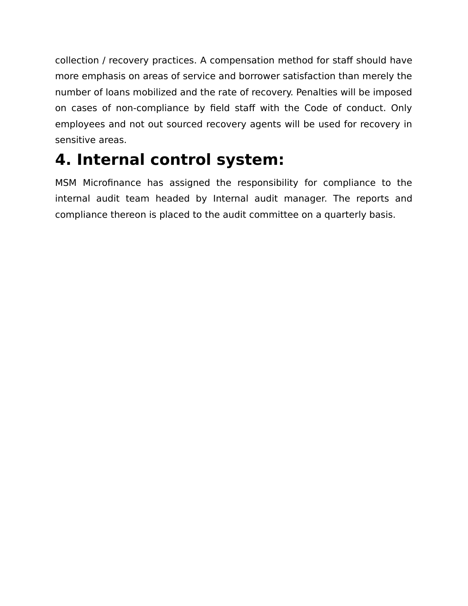collection / recovery practices. A compensation method for staff should have more emphasis on areas of service and borrower satisfaction than merely the number of loans mobilized and the rate of recovery. Penalties will be imposed on cases of non-compliance by field staff with the Code of conduct. Only employees and not out sourced recovery agents will be used for recovery in sensitive areas.

### **4. Internal control system:**

MSM Microfinance has assigned the responsibility for compliance to the internal audit team headed by Internal audit manager. The reports and compliance thereon is placed to the audit committee on a quarterly basis.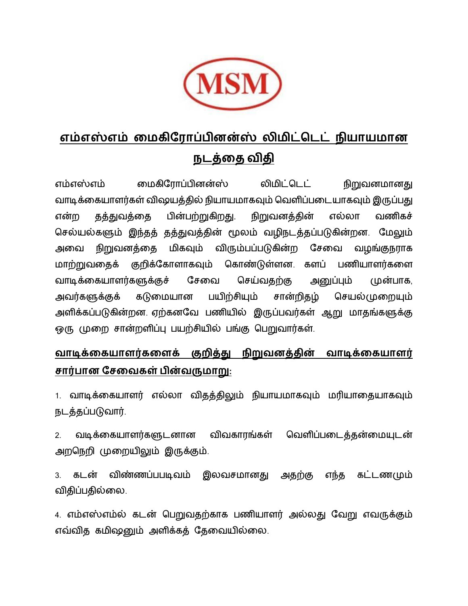

#### **எம்எஸ்எம் மைகிர ோப்பினன்ஸ் லிைிட்டெட் நியோயைோன நெத்மை விைி**

எம்எஸ்எம் மைகிரோப்பினன்ஸ் லிமிட்டெட் நிறுவனமானது வாடிக்கையாளர்கள் விஷயத்தில் நியாயமாகவும் வெளிப்படையாகவும் இருப்பது என்ற தத்துவத்மத பின்பற்றுகிறது. நிறுவனத்தின் எல்லோ வணிகச் செல்யல்களும் இந்தத் தத்துவத்தின் மூலம் வழிநடத்தப்படுகின்றன. மேலும் அவை நிறுவனத்தை மிகவும் விரும்பப்படுகின்ற சேவை வழங்குநராக ைோற்றுவமதக் குறிக்ரகோளோகவும் டகோண்டுள்ளன. களப் பணியோளர்கமள வாடிக்கையாளர்களுக்குச் சேவை செய்வதற்கு அனுப்பும் முன்பாக, அவர்களுக்குக் கடுமையான பயிற்சியும் சான்றிகம் செயல்முறையும் அளிக்கப்படுகின்றன. ஏற்கனவே பணியில் இருப்பவர்கள் ஆறு மாதங்களுக்கு ஒரு முறை சான்றளிப்பு பயற்சியில் பங்கு பெறுவார்கள்.

#### **வோடிக்மகயோளர்கமளக் குறித்து நிறுவனத்ைின் வோடிக்மகயோளர் சோர்போன ரசமவகள் பின்வருைோறு:**

1. வோடிக்மகயோளர் எல்லோ விதத்திலும் நியோயைோகவும் ைரியோமதயோகவும் நெத்தப்படுவோர்.

2. வடிக்கையாளர்களுடனான விவகாரங்கள் வெளிப்படைத்தன்மையுடன் அறடநறி முமறயிலும் இருக்கும்.

3. கடன் விண்ணப்பபடிவம் இலவசமானது அதற்கு எந்த கட்டணமும் விதிப்பதில்லை.

4. எம்எஸ்எம்ல் கடன் பெறுவதற்காக பணியாளர் அல்லது வேறு எவருக்கும் எவ்வித கமிஷனும் அளிக்கக் கேவையில்லை.